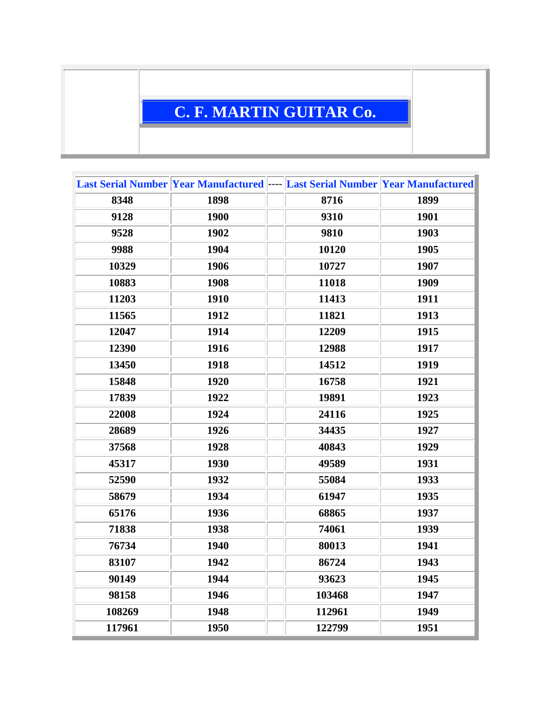## **C. F. MARTIN GUITAR Co.**

|        | Last Serial Number Year Manufactured ---- Last Serial Number Year Manufactured |        |      |
|--------|--------------------------------------------------------------------------------|--------|------|
| 8348   | 1898                                                                           | 8716   | 1899 |
| 9128   | 1900                                                                           | 9310   | 1901 |
| 9528   | 1902                                                                           | 9810   | 1903 |
| 9988   | 1904                                                                           | 10120  | 1905 |
| 10329  | 1906                                                                           | 10727  | 1907 |
| 10883  | 1908                                                                           | 11018  | 1909 |
| 11203  | 1910                                                                           | 11413  | 1911 |
| 11565  | 1912                                                                           | 11821  | 1913 |
| 12047  | 1914                                                                           | 12209  | 1915 |
| 12390  | 1916                                                                           | 12988  | 1917 |
| 13450  | 1918                                                                           | 14512  | 1919 |
| 15848  | 1920                                                                           | 16758  | 1921 |
| 17839  | 1922                                                                           | 19891  | 1923 |
| 22008  | 1924                                                                           | 24116  | 1925 |
| 28689  | 1926                                                                           | 34435  | 1927 |
| 37568  | 1928                                                                           | 40843  | 1929 |
| 45317  | 1930                                                                           | 49589  | 1931 |
| 52590  | 1932                                                                           | 55084  | 1933 |
| 58679  | 1934                                                                           | 61947  | 1935 |
| 65176  | 1936                                                                           | 68865  | 1937 |
| 71838  | 1938                                                                           | 74061  | 1939 |
| 76734  | 1940                                                                           | 80013  | 1941 |
| 83107  | 1942                                                                           | 86724  | 1943 |
| 90149  | 1944                                                                           | 93623  | 1945 |
| 98158  | 1946                                                                           | 103468 | 1947 |
| 108269 | 1948                                                                           | 112961 | 1949 |
| 117961 | 1950                                                                           | 122799 | 1951 |